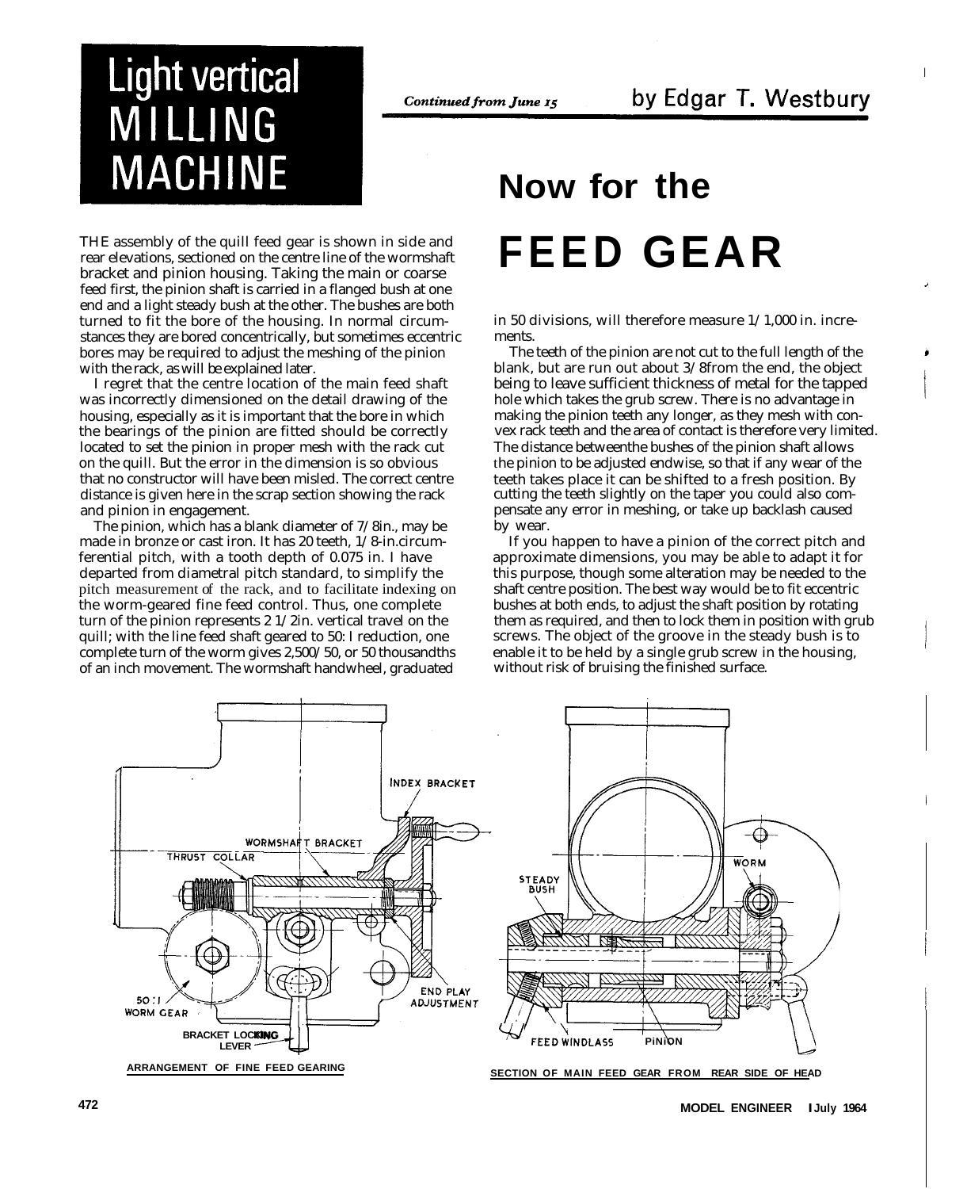## **Light vertical** MILLING **MACHINE**

THE assembly of the quill feed gear is shown in side and rear elevations, sectioned on the centre line of the wormshaft bracket and pinion housing. Taking the main or coarse feed first, the pinion shaft is carried in a flanged bush at one end and a light steady bush at the other. The bushes are both turned to fit the bore of the housing. In normal circumstances they are bored concentrically, but sometimes eccentric bores may be required to adjust the meshing of the pinion with the rack, as will be explained later.

I regret that the centre location of the main feed shaft was incorrectly dimensioned on the detail drawing of the housing, especially as it is important that the bore in which the bearings of the pinion are fitted should be correctly located to set the pinion in proper mesh with the rack cut on the quill. But the error in the dimension is so obvious that no constructor will have been misled. The correct centre distance is given here in the scrap section showing the rack and pinion in engagement.

The pinion, which has a blank diameter of 7/8in., may be made in bronze or cast iron. It has 20 teeth, 1/8-in.circumferential pitch, with a tooth depth of 0.075 in. I have departed from diametral pitch standard, to simplify the pitch measurement of the rack, and to facilitate indexing on the worm-geared fine feed control. Thus, one complete turn of the pinion represents 2 1/2in. vertical travel on the quill; with the line feed shaft geared to 50: I reduction, one complete turn of the worm gives 2,500/50, or 50 thousandths of an inch movement. The wormshaft handwheel, graduated

## **Now for the FEED GEAR**

in 50 divisions, will therefore measure 1/1,000 in. increments.

The teeth of the pinion are not cut to the full length of the blank, but are run out about 3/8from the end, the object being to leave sufficient thickness of metal for the tapped hole which takes the grub screw. There is no advantage in making the pinion teeth any longer, as they mesh with convex rack teeth and the area of contact is therefore very limited. The distance betweenthe bushes of the pinion shaft allows the pinion to be adjusted endwise, so that if any wear of the teeth takes place it can be shifted to a fresh position. By cutting the teeth slightly on the taper you could also compensate any error in meshing, or take up backlash caused by wear.

If you happen to have a pinion of the correct pitch and approximate dimensions, you may be able to adapt it for this purpose, though some alteration may be needed to the shaft centre position. The best way would be to fit eccentric bushes at both ends, to adjust the shaft position by rotating them as required, and then to lock them in position with grub screws. The object of the groove in the steady bush is to enable it to be held by a single grub screw in the housing, without risk of bruising the finished surface.

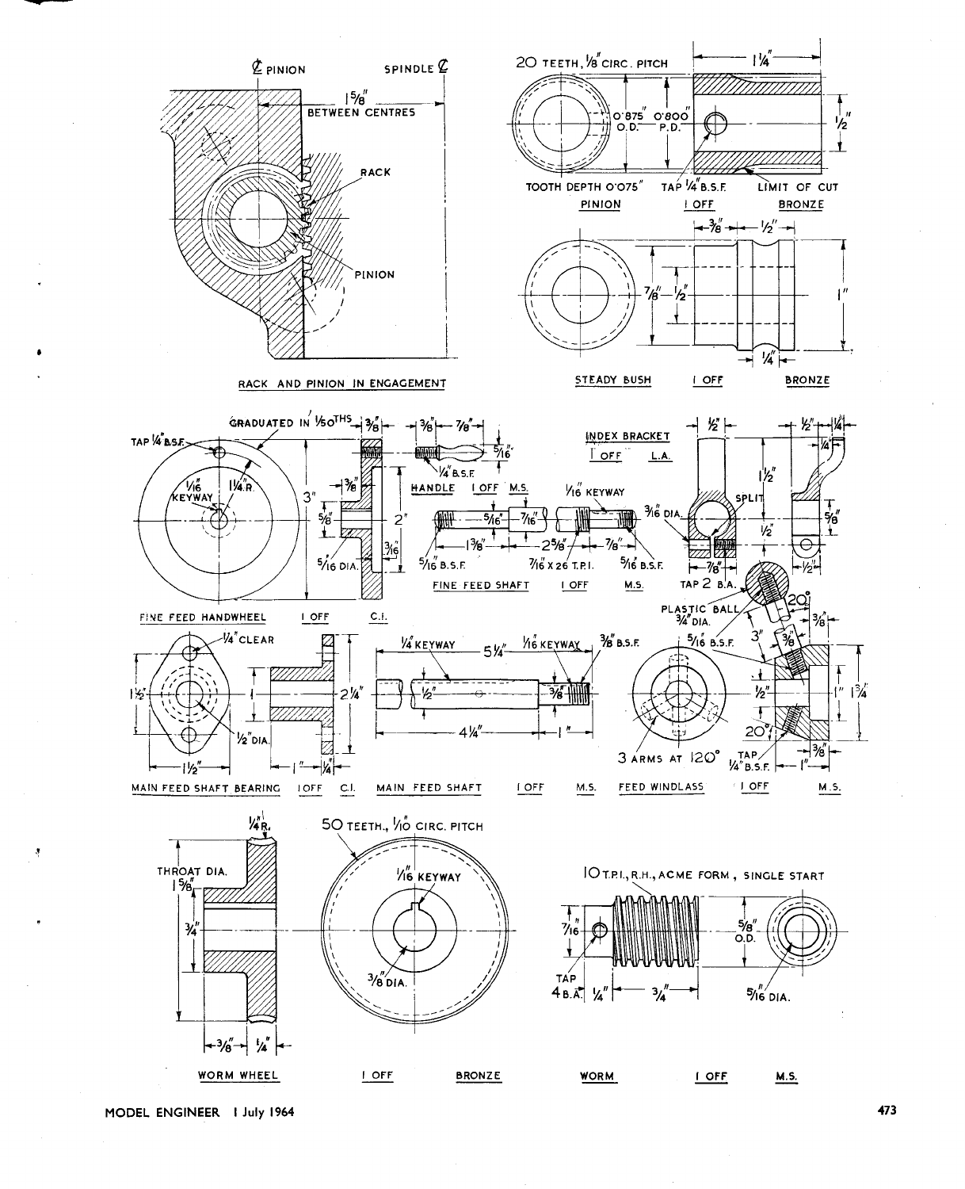

MODEL ENGINEER | July 1964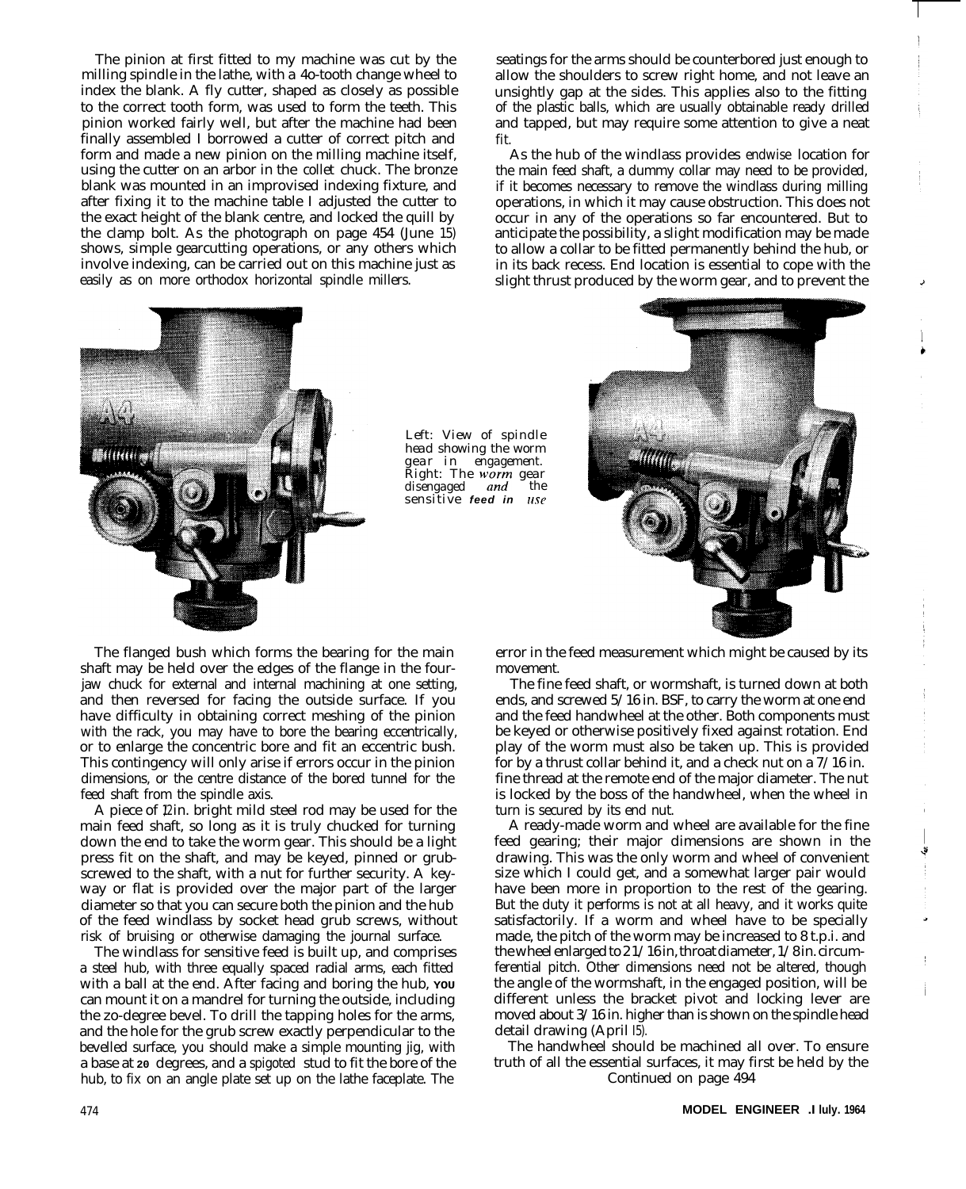The pinion at first fitted to my machine was cut by the milling spindle in the lathe, with a 4o-tooth change wheel to index the blank. A fly cutter, shaped as closely as possible to the correct tooth form, was used to form the teeth. This pinion worked fairly well, but after the machine had been finally assembled I borrowed a cutter of correct pitch and form and made a new pinion on the milling machine itself, using the cutter on an arbor in the collet chuck. The bronze blank was mounted in an improvised indexing fixture, and after fixing it to the machine table I adjusted the cutter to the exact height of the blank centre, and locked the quill by the clamp bolt. As the photograph on page 454 (June 15) shows, simple gearcutting operations, or any others which involve indexing, can be carried out on this machine just as easily as on more orthodox horizontal spindle millers.

*Left: View of spindle head showing the worm* gear in engagement.<br>Right: The worm gear disengaged and the  $s$ *ensitive feed in use* 

seatings for the arms should be counterbored just enough to allow the shoulders to screw right home, and not leave an unsightly gap at the sides. This applies also to the fitting of the plastic balls, which are usually obtainable ready drilled and tapped, but may require some attention to give a neat fit.

As the hub of the windlass provides endwise location for the main feed shaft, a dummy collar may need to be provided, if it becomes necessary to remove the windlass during milling operations, in which it may cause obstruction. This does not occur in any of the operations so far encountered. But to anticipate the possibility, a slight modification may be made to allow a collar to be fitted permanently behind the hub, or in its back recess. End location is essential to cope with the slight thrust produced by the worm gear, and to prevent the



The flanged bush which forms the bearing for the main shaft may be held over the edges of the flange in the fourjaw chuck for external and internal machining at one setting, and then reversed for facing the outside surface. If you have difficulty in obtaining correct meshing of the pinion with the rack, you may have to bore the bearing eccentrically, or to enlarge the concentric bore and fit an eccentric bush. This contingency will only arise if errors occur in the pinion dimensions, or the centre distance of the bored tunnel for the feed shaft from the spindle axis.

A piece of  $\ell$  in. bright mild steel rod may be used for the main feed shaft, so long as it is truly chucked for turning down the end to take the worm gear. This should be a light press fit on the shaft, and may be keyed, pinned or grubscrewed to the shaft, with a nut for further security. A keyway or flat is provided over the major part of the larger diameter so that you can secure both the pinion and the hub of the feed windlass by socket head grub screws, without risk of bruising or otherwise damaging the journal surface.

The windlass for sensitive feed is built up, and comprises a steel hub, with three equally spaced radial arms, each fitted with a ball at the end. After facing and boring the hub, **YOU** can mount it on a mandrel for turning the outside, including the zo-degree bevel. To drill the tapping holes for the arms, and the hole for the grub screw exactly perpendicular to the bevelled surface, you should make a simple mounting jig, with a base at **20** degrees, and a spigoted stud to fit the bore of the hub, to fix on an angle plate set up on the lathe faceplate. The

error in the feed measurement which might be caused by its movement.

The fine feed shaft, or wormshaft, is turned down at both ends, and screwed 5/16 in. BSF, to carry the worm at one end and the feed handwheel at the other. Both components must be keyed or otherwise positively fixed against rotation. End play of the worm must also be taken up. This is provided for by a thrust collar behind it, and a check nut on a  $7/16$  in. fine thread at the remote end of the major diameter. The nut is locked by the boss of the handwheel, when the wheel in turn is secured by its end nut.

A ready-made worm and wheel are available for the fine feed gearing; their major dimensions are shown in the drawing. This was the only worm and wheel of convenient size which I could get, and a somewhat larger pair would have been more in proportion to the rest of the gearing. But the duty it performs is not at all heavy, and it works quite satisfactorily. If a worm and wheel have to be specially made, the pitch of the worm may be increased to 8 t.p.i. and the wheel enlarged to 2 1/16 in, throat diameter, 1/8 in. circumferential pitch. Other dimensions need not be altered, though the angle of the wormshaft, in the engaged position, will be different unless the bracket pivot and locking lever are moved about 3/16 in. higher than is shown on the spindle head detail drawing (April I5).

The handwheel should be machined all over. To ensure truth of all the essential surfaces, it may first be held by the Continued on page 494